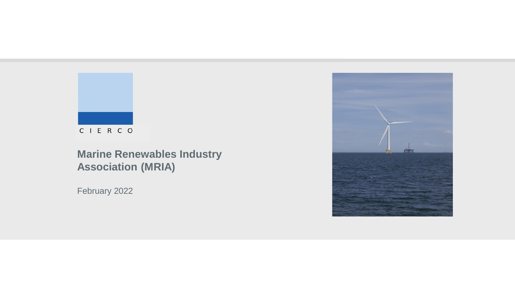

C I E R C O

## **Marine Renewables Industry Association (MRIA)**

February 2022

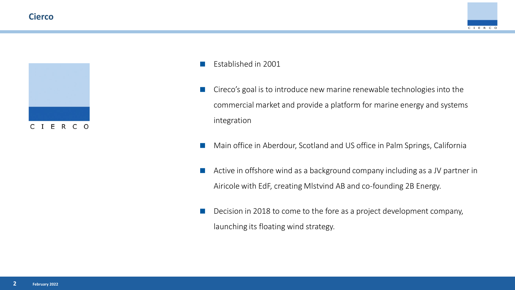### **Cierco**

 $C<sub>1</sub>$ 

E R C O





- Cireco's goal is to introduce new marine renewable technologies into the commercial market and provide a platform for marine energy and systems integration
- Main office in Aberdour, Scotland and US office in Palm Springs, California
- Active in offshore wind as a background company including as a JV partner in Airicole with EdF, creating Mlstvind AB and co-founding 2B Energy.
- Decision in 2018 to come to the fore as a project development company, launching its floating wind strategy.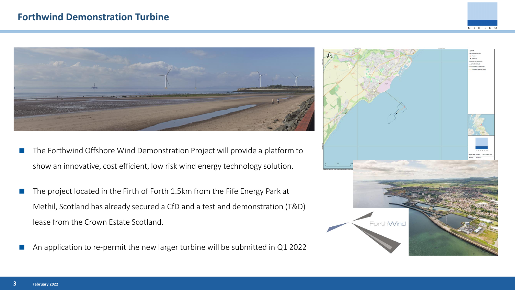



- The Forthwind Offshore Wind Demonstration Project will provide a platform to show an innovative, cost efficient, low risk wind energy technology solution.
- The project located in the Firth of Forth 1.5km from the Fife Energy Park at Methil, Scotland has already secured a CfD and a test and demonstration (T&D) lease from the Crown Estate Scotland.
- An application to re-permit the new larger turbine will be submitted in Q1 2022

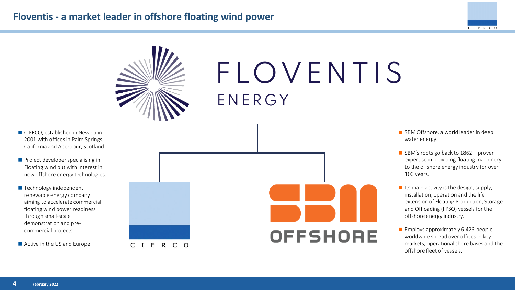### **Floventis - a market leader in offshore floating wind power**





# FLOVENTIS ENERGY

- **CIERCO**, established in Nevada in 2001 with offices in Palm Springs, California and Aberdour, Scotland.
- $\blacksquare$  Project developer specialising in Floating wind but with interest in new offshore energy technologies.
- $\blacksquare$  Technology independent renewable energy company aiming to accelerate commercial floating wind power readiness through small-scale demonstration and precommercial projects.
- Active in the US and Europe.





- SBM Offshore, a world leader in deep water energy.
- $\blacksquare$  SBM's roots go back to 1862 proven expertise in providing floating machinery to the offshore energy industry for over 100 years.
- Its main activity is the design, supply, installation, operation and the life extension of Floating Production, Storage and Offloading (FPSO) vessels for the offshore energy industry.
- $\blacksquare$  Employs approximately 6,426 people worldwide spread over offices in key markets, operational shore bases and the offshore fleet of vessels.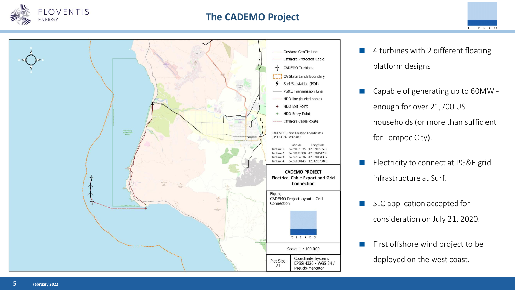

### **The CADEMO Project**





- 4 turbines with 2 different floating platform designs
- Capable of generating up to 60MW enough for over 21,700 US households (or more than sufficient for Lompoc City).
- Electricity to connect at PG&E grid infrastructure at Surf.
- SLC application accepted for consideration on July 21, 2020.
- First offshore wind project to be deployed on the west coast.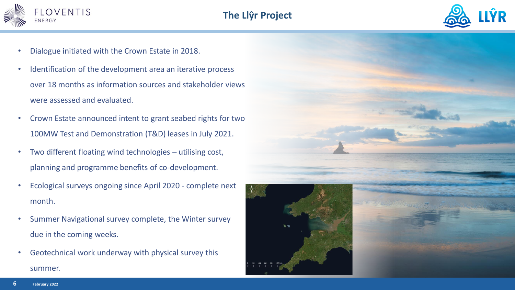



- Dialogue initiated with the Crown Estate in 2018.
- Identification of the development area an iterative process over 18 months as information sources and stakeholder views were assessed and evaluated.
- Crown Estate announced intent to grant seabed rights for two 100MW Test and Demonstration (T&D) leases in July 2021.
- Two different floating wind technologies utilising cost, planning and programme benefits of co-development.
- Ecological surveys ongoing since April 2020 complete next month.
- Summer Navigational survey complete, the Winter survey due in the coming weeks.
- Geotechnical work underway with physical survey this summer.